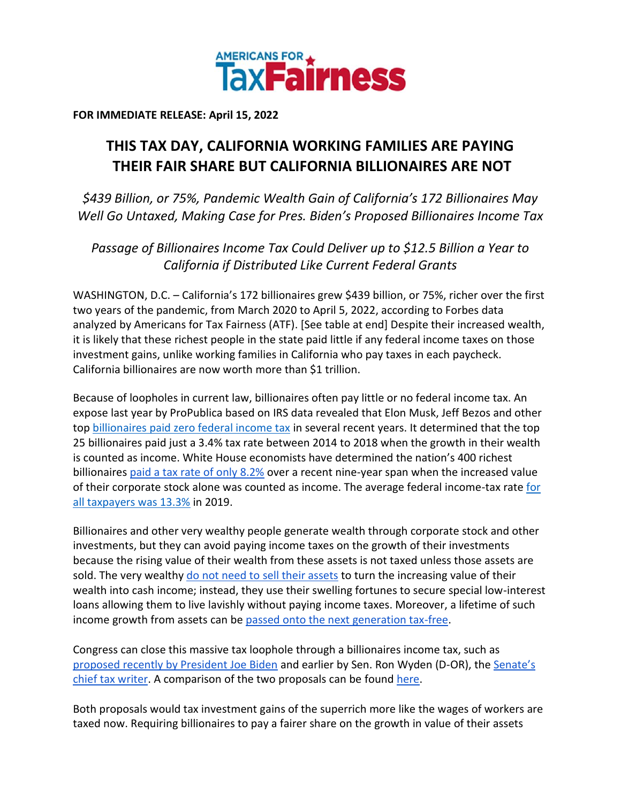

**FOR IMMEDIATE RELEASE: April 15, 2022**

## **THIS TAX DAY, CALIFORNIA WORKING FAMILIES ARE PAYING THEIR FAIR SHARE BUT CALIFORNIA BILLIONAIRES ARE NOT**

*\$439 Billion, or 75%, Pandemic Wealth Gain of California's 172 Billionaires May Well Go Untaxed, Making Case for Pres. Biden's Proposed Billionaires Income Tax*

*Passage of Billionaires Income Tax Could Deliver up to \$12.5 Billion a Year to California if Distributed Like Current Federal Grants*

WASHINGTON, D.C. – California's 172 billionaires grew \$439 billion, or 75%, richer over the first two years of the pandemic, from March 2020 to April 5, 2022, according to Forbes data analyzed by Americans for Tax Fairness (ATF). [See table at end] Despite their increased wealth, it is likely that these richest people in the state paid little if any federal income taxes on those investment gains, unlike working families in California who pay taxes in each paycheck. California billionaires are now worth more than \$1 trillion.

Because of loopholes in current law, billionaires often pay little or no federal income tax. An expose last year by ProPublica based on IRS data revealed that Elon Musk, Jeff Bezos and other to[p](https://americansfortaxfairness.org/wp-content/uploads/ProPublica-Billionaires-Fact-Sheet-Updated.pdf) [billionaires paid zero federal income tax](https://americansfortaxfairness.org/wp-content/uploads/ProPublica-Billionaires-Fact-Sheet-Updated.pdf) in several recent years. It determined that the top 25 billionaires paid just a 3.4% tax rate between 2014 to 2018 when the growth in their wealth is counted as income. White House economists have determined the nation's 400 richest billionaire[s](https://www.whitehouse.gov/cea/written-materials/2021/09/23/what-is-the-average-federal-individual-income-tax-rate-on-the-wealthiest-americans/) [paid a tax rate of only 8.2%](https://www.whitehouse.gov/cea/written-materials/2021/09/23/what-is-the-average-federal-individual-income-tax-rate-on-the-wealthiest-americans/) over a recent nine-year span when the increased value of their corporate stock alone was counted as income. The average federal income-tax rat[e](https://taxfoundation.org/summary-latest-federal-income-tax-data-2022-update/) [for](https://taxfoundation.org/summary-latest-federal-income-tax-data-2022-update/)  [all taxpayers was 13.3%](https://taxfoundation.org/summary-latest-federal-income-tax-data-2022-update/) in 2019.

Billionaires and other very wealthy people generate wealth through corporate stock and other investments, but they can avoid paying income taxes on the growth of their investments because the rising value of their wealth from these assets is not taxed unless those assets are sold. The ver[y](https://www.wsj.com/articles/buy-borrow-die-how-rich-americans-live-off-their-paper-wealth-11625909583) wealthy do not need to [sell their assets](https://www.wsj.com/articles/buy-borrow-die-how-rich-americans-live-off-their-paper-wealth-11625909583) to turn the increasing value of their wealth into cash income; instead, they use their swelling fortunes to secure special low-interest loans allowing them to live lavishly without paying income taxes. Moreover, a lifetime of such income growth from assets can b[e](https://americansfortaxfairness.org/issue/stop-protecting-billionaires-close-stepped-basis-loophole/) [passed onto the next generation tax-free.](https://americansfortaxfairness.org/issue/stop-protecting-billionaires-close-stepped-basis-loophole/)

Congress can close this massive tax loophole through a billionaires income tax, such a[s](https://www.whitehouse.gov/omb/briefing-room/2022/03/28/presidents-budget-rewards-work-not-wealth-with-new-billionaire-minimum-income-tax/) [proposed recently by President Joe Biden](https://www.whitehouse.gov/omb/briefing-room/2022/03/28/presidents-budget-rewards-work-not-wealth-with-new-billionaire-minimum-income-tax/) and earlier by Sen. Ron Wyden (D-OR), th[e](https://www.finance.senate.gov/chairmans-news/wyden-unveils-billionaires-income-tax) [Senate's](https://www.finance.senate.gov/chairmans-news/wyden-unveils-billionaires-income-tax)  [chief tax writer.](https://www.finance.senate.gov/chairmans-news/wyden-unveils-billionaires-income-tax) A comparison of the two proposals can be foun[d](https://americansfortaxfairness.org/issue/comparison-biden-wyden-billionaires-income-tax-proposals-short/) [here.](https://americansfortaxfairness.org/issue/comparison-biden-wyden-billionaires-income-tax-proposals-short/)

Both proposals would tax investment gains of the superrich more like the wages of workers are taxed now. Requiring billionaires to pay a fairer share on the growth in value of their assets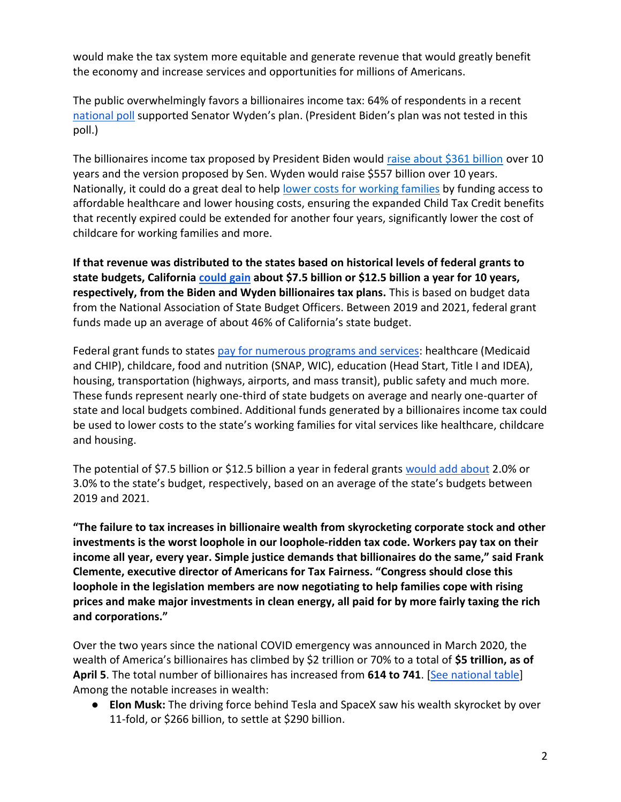would make the tax system more equitable and generate revenue that would greatly benefit the economy and increase services and opportunities for millions of Americans.

The public overwhelmingly favors a billionaires income tax: 64% of respondents in a recen[t](https://docs.google.com/document/d/1AhWvucOLV2qY6izLkZvHpPig6DDmdFaCbmeM-5E65Xw/edit) [national poll](https://docs.google.com/document/d/1AhWvucOLV2qY6izLkZvHpPig6DDmdFaCbmeM-5E65Xw/edit) supported Senator Wyden's plan. (President Biden's plan was not tested in this poll.)

The billionaires income tax proposed by President Biden would [raise about \\$361 billion](https://americansfortaxfairness.org/issue/comparison-biden-wyden-billionaires-income-tax-proposals-short/) over 10 years and the version proposed by Sen. Wyden would raise \$557 billion over 10 years. Nationally, it could do a great deal to hel[p](https://americansfortaxfairness.org/issue/6-ways-spend-revenue-billionaires-income-tax/) [lower costs for working families](https://americansfortaxfairness.org/issue/6-ways-spend-revenue-billionaires-income-tax/) by funding access to affordable healthcare and lower housing costs, ensuring the expanded Child Tax Credit benefits that recently expired could be extended for another four years, significantly lower the cost of childcare for working families and more.

**If that revenue was distributed to the states based on historical levels of federal grants to state budgets, California [could gain](https://docs.google.com/spreadsheets/d/1uMGQ0_Ow8ssIrktfYIvIQZwB44zOHf82ILpvh5kzWUI/edit?usp=sharing) about \$7.5 billion or \$12.5 billion a year for 10 years, respectively, from the Biden and Wyden billionaires tax plans.** This is based on budget data from the National Association of State Budget Officers. Between 2019 and 2021, federal grant funds made up an average of about 46% of California's state budget.

Federal grant funds to states [pay for numerous programs and services:](https://www.cbpp.org/research/state-budget-and-tax/federal-aid-to-state-and-local-governments) healthcare (Medicaid and CHIP), childcare, food and nutrition (SNAP, WIC), education (Head Start, Title I and IDEA), housing, transportation (highways, airports, and mass transit), public safety and much more. These funds represent nearly one-third of state budgets on average and nearly one-quarter of state and local budgets combined. Additional funds generated by a billionaires income tax could be used to lower costs to the state's working families for vital services like healthcare, childcare and housing.

The potential of \$7.5 billion or \$12.5 billion a year in federal grant[s](https://docs.google.com/spreadsheets/d/1uMGQ0_Ow8ssIrktfYIvIQZwB44zOHf82ILpvh5kzWUI/edit?usp=sharing) [would add about](https://docs.google.com/spreadsheets/d/1uMGQ0_Ow8ssIrktfYIvIQZwB44zOHf82ILpvh5kzWUI/edit?usp=sharing) 2.0% or 3.0% to the state's budget, respectively, based on an average of the state's budgets between 2019 and 2021.

**"The failure to tax increases in billionaire wealth from skyrocketing corporate stock and other investments is the worst loophole in our loophole-ridden tax code. Workers pay tax on their income all year, every year. Simple justice demands that billionaires do the same," said Frank Clemente, executive director of Americans for Tax Fairness. "Congress should close this loophole in the legislation members are now negotiating to help families cope with rising prices and make major investments in clean energy, all paid for by more fairly taxing the rich and corporations."**

Over the two years since the national COVID emergency was announced in March 2020, the wealth of America's billionaires has climbed by \$2 trillion or 70% to a total of **\$5 trillion, as of April 5**. The total number of billionaires has increased from **614 to 741**. [\[See national table\]](https://docs.google.com/spreadsheets/d/1MksOhwmIojtZihAmPcfcYeaGoG3FOFZmiKUza1dIRD4/edit?usp=sharing) Among the notable increases in wealth:

● **Elon Musk:** The driving force behind Tesla and SpaceX saw his wealth skyrocket by over 11-fold, or \$266 billion, to settle at \$290 billion.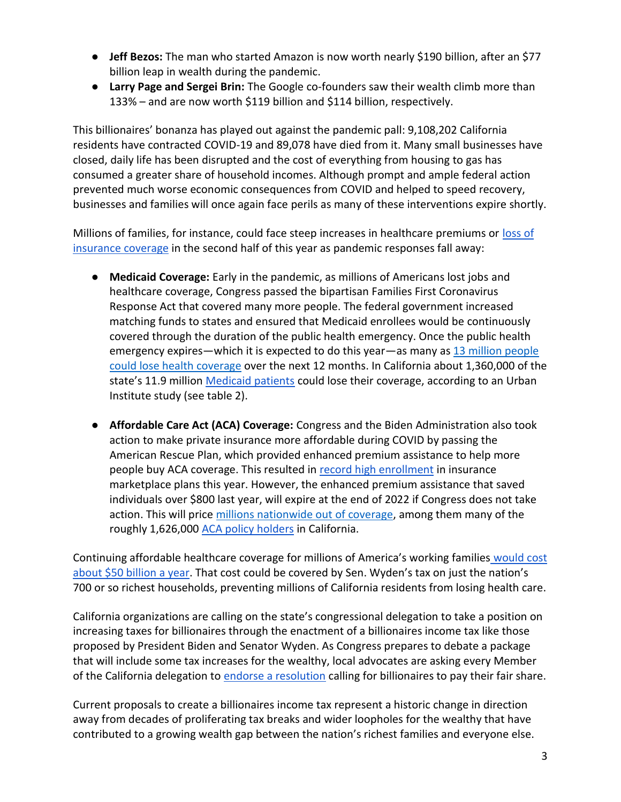- **Jeff Bezos:** The man who started Amazon is now worth nearly \$190 billion, after an \$77 billion leap in wealth during the pandemic.
- **Larry Page and Sergei Brin:** The Google co-founders saw their wealth climb more than 133% – and are now worth \$119 billion and \$114 billion, respectively.

This billionaires' bonanza has played out against the pandemic pall: 9,108,202 California residents have contracted COVID-19 and 89,078 have died from it. Many small businesses have closed, daily life has been disrupted and the cost of everything from housing to gas has consumed a greater share of household incomes. Although prompt and ample federal action prevented much worse economic consequences from COVID and helped to speed recovery, businesses and families will once again face perils as many of these interventions expire shortly.

Millions of families, for instance, could face steep increases in healthcare premiums or [loss of](https://www.nytimes.com/2022/04/04/opinion/covid-medicaid-loss.html)  [insurance coverage](https://www.nytimes.com/2022/04/04/opinion/covid-medicaid-loss.html) in the second half of this year as pandemic responses fall away:

- **Medicaid Coverage:** Early in the pandemic, as millions of Americans lost jobs and healthcare coverage, Congress passed the bipartisan Families First Coronavirus Response Act that covered many more people. The federal government increased matching funds to states and ensured that Medicaid enrollees would be continuously covered through the duration of the public health emergency. Once the public health emergency expires—which it is expected to do this year—as many a[s](https://www.urban.org/sites/default/files/2022-03/what-will-happen-to-medicaid-enrollees-health-coverage-after-the-public-health-emergency_1_1.pdf) [13 million people](https://www.urban.org/sites/default/files/2022-03/what-will-happen-to-medicaid-enrollees-health-coverage-after-the-public-health-emergency_1_1.pdf)  [could lose health coverage](https://www.urban.org/sites/default/files/2022-03/what-will-happen-to-medicaid-enrollees-health-coverage-after-the-public-health-emergency_1_1.pdf) over the next 12 months. In California about 1,360,000 of the state's 11.9 million [Medicaid patients](https://www.medicaid.gov/medicaid/program-information/medicaid-and-chip-enrollment-data/report-highlights/index.html) could lose their coverage, according to an Urban Institute study (see table 2).
- **Affordable Care Act (ACA) Coverage:** Congress and the Biden Administration also took action to make private insurance more affordable during COVID by passing the American Rescue Plan, which provided enhanced premium assistance to help more people buy ACA coverage. This resulted i[n](https://www.whitehouse.gov/briefing-room/statements-releases/2022/03/10/during-week-of-anniversary-of-american-rescue-plan-biden-harris-administration-highlights-health-insurance-subsidies-that-promoted-critical-increases-in-enrollment-and-cost-savings/) [record high enrollment](https://www.whitehouse.gov/briefing-room/statements-releases/2022/03/10/during-week-of-anniversary-of-american-rescue-plan-biden-harris-administration-highlights-health-insurance-subsidies-that-promoted-critical-increases-in-enrollment-and-cost-savings/) in insurance marketplace plans this year. However, the enhanced premium assistance that saved individuals over \$800 last year, will expire at the end of 2022 if Congress does not take action. This will pric[e](https://tcf.org/content/commentary/american-rescue-plans-premium-assistance-must-made-permanent/?agreed=1) [millions nationwide out of coverage,](https://tcf.org/content/commentary/american-rescue-plans-premium-assistance-must-made-permanent/?agreed=1) among them many of the roughly 1,626,[0](https://www.kff.org/health-reform/state-indicator/marketplace-enrollment/?currentTimeframe=0&sortModel=%7B%22colId%22:%22Location%22,%22sort%22:%22asc%22%7D)00 [ACA policy holders](https://www.kff.org/health-reform/state-indicator/marketplace-enrollment/?currentTimeframe=0&sortModel=%7B%22colId%22:%22Location%22,%22sort%22:%22asc%22%7D) in California.

Continuing affordable healthcare coverage for millions of America's working families [would cost](https://www.cbo.gov/system/files/2021-12/57673-BBBA-GrahamSmith-Letter.pdf)  [about \\$50 billion a year](https://www.cbo.gov/system/files/2021-12/57673-BBBA-GrahamSmith-Letter.pdf). That cost could be covered by Sen. Wyden's tax on just the nation's 700 or so richest households, preventing millions of California residents from losing health care.

California organizations are calling on the state's congressional delegation to take a position on increasing taxes for billionaires through the enactment of a billionaires income tax like those proposed by President Biden and Senator Wyden. As Congress prepares to debate a package that will include some tax increases for the wealthy, local advocates are asking every Member of the California delegation to [endorse a resolution](https://americansfortaxfairness.org/wp-content/uploads/4.13-final-final-resolution.pdf) calling for billionaires to pay their fair share.

Current proposals to create a billionaires income tax represent a historic change in direction away from decades of proliferating tax breaks and wider loopholes for the wealthy that have contributed to a growing wealth gap between the nation's richest families and everyone else.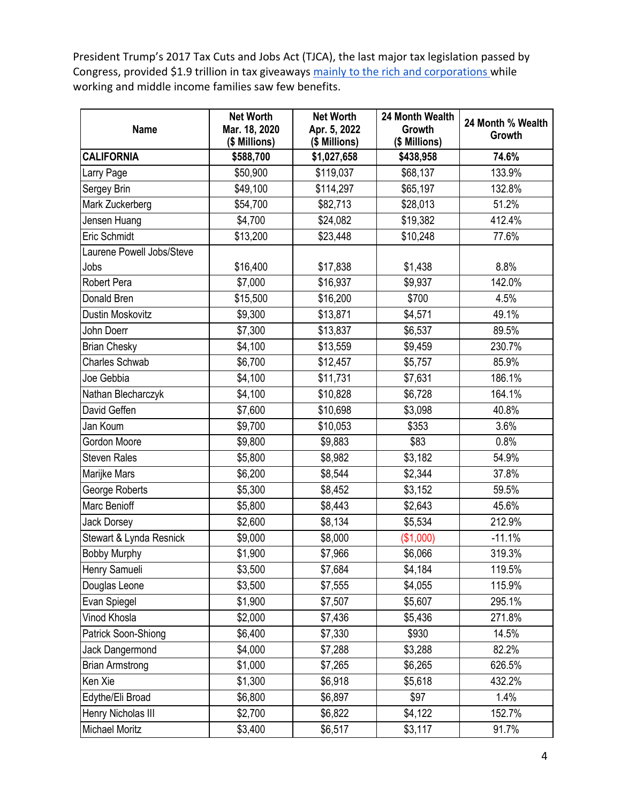President Trump's 2017 Tax Cuts and Jobs Act (TJCA), the last major tax legislation passed by Congre[s](https://americansfortaxfairness.org/issue/chartbook-trump-gop-tax-cuts-failing-workers-economy/)s, provided \$1.9 trillion in tax giveaways [mainly to the rich and corporations](https://americansfortaxfairness.org/issue/chartbook-trump-gop-tax-cuts-failing-workers-economy/) while working and middle income families saw few benefits.

| <b>Name</b>               | <b>Net Worth</b><br>Mar. 18, 2020<br>(\$ Millions) | <b>Net Worth</b><br>Apr. 5, 2022<br>(\$ Millions) | 24 Month Wealth<br>Growth<br>(\$ Millions) | 24 Month % Wealth<br>Growth |
|---------------------------|----------------------------------------------------|---------------------------------------------------|--------------------------------------------|-----------------------------|
| <b>CALIFORNIA</b>         | \$588,700                                          | \$1,027,658                                       | \$438,958                                  | 74.6%                       |
| Larry Page                | \$50,900                                           | \$119,037                                         | \$68,137                                   | 133.9%                      |
| Sergey Brin               | \$49,100                                           | \$114,297                                         | \$65,197                                   | 132.8%                      |
| Mark Zuckerberg           | \$54,700                                           | \$82,713                                          | \$28,013                                   | 51.2%                       |
| Jensen Huang              | \$4,700                                            | \$24,082                                          | \$19,382                                   | 412.4%                      |
| Eric Schmidt              | \$13,200                                           | \$23,448                                          | \$10,248                                   | 77.6%                       |
| Laurene Powell Jobs/Steve |                                                    |                                                   |                                            |                             |
| Jobs                      | \$16,400                                           | \$17,838                                          | \$1,438                                    | 8.8%                        |
| Robert Pera               | \$7,000                                            | \$16,937                                          | \$9,937                                    | 142.0%                      |
| Donald Bren               | \$15,500                                           | \$16,200                                          | \$700                                      | 4.5%                        |
| Dustin Moskovitz          | \$9,300                                            | \$13,871                                          | \$4,571                                    | 49.1%                       |
| John Doerr                | \$7,300                                            | \$13,837                                          | \$6,537                                    | 89.5%                       |
| <b>Brian Chesky</b>       | \$4,100                                            | \$13,559                                          | \$9,459                                    | 230.7%                      |
| <b>Charles Schwab</b>     | \$6,700                                            | \$12,457                                          | \$5,757                                    | 85.9%                       |
| Joe Gebbia                | \$4,100                                            | \$11,731                                          | \$7,631                                    | 186.1%                      |
| Nathan Blecharczyk        | \$4,100                                            | \$10,828                                          | \$6,728                                    | 164.1%                      |
| David Geffen              | \$7,600                                            | \$10,698                                          | \$3,098                                    | 40.8%                       |
| Jan Koum                  | \$9,700                                            | \$10,053                                          | \$353                                      | 3.6%                        |
| Gordon Moore              | \$9,800                                            | \$9,883                                           | \$83                                       | 0.8%                        |
| <b>Steven Rales</b>       | \$5,800                                            | \$8,982                                           | \$3,182                                    | 54.9%                       |
| Marijke Mars              | \$6,200                                            | \$8,544                                           | \$2,344                                    | 37.8%                       |
| George Roberts            | \$5,300                                            | \$8,452                                           | \$3,152                                    | 59.5%                       |
| Marc Benioff              | \$5,800                                            | \$8,443                                           | \$2,643                                    | 45.6%                       |
| <b>Jack Dorsey</b>        | \$2,600                                            | \$8,134                                           | \$5,534                                    | 212.9%                      |
| Stewart & Lynda Resnick   | \$9,000                                            | \$8,000                                           | (\$1,000)                                  | $-11.1%$                    |
| <b>Bobby Murphy</b>       | \$1,900                                            | \$7,966                                           | \$6,066                                    | 319.3%                      |
| Henry Samueli             | \$3,500                                            | \$7,684                                           | \$4,184                                    | 119.5%                      |
| Douglas Leone             | \$3,500                                            | \$7,555                                           | \$4,055                                    | 115.9%                      |
| Evan Spiegel              | \$1,900                                            | \$7,507                                           | \$5,607                                    | 295.1%                      |
| Vinod Khosla              | \$2,000                                            | \$7,436                                           | \$5,436                                    | 271.8%                      |
| Patrick Soon-Shiong       | \$6,400                                            | \$7,330                                           | \$930                                      | 14.5%                       |
| Jack Dangermond           | \$4,000                                            | \$7,288                                           | \$3,288                                    | 82.2%                       |
| <b>Brian Armstrong</b>    | \$1,000                                            | \$7,265                                           | \$6,265                                    | 626.5%                      |
| Ken Xie                   | \$1,300                                            | \$6,918                                           | \$5,618                                    | 432.2%                      |
| Edythe/Eli Broad          | \$6,800                                            | \$6,897                                           | \$97                                       | 1.4%                        |
| Henry Nicholas III        | \$2,700                                            | \$6,822                                           | \$4,122                                    | 152.7%                      |
| Michael Moritz            | \$3,400                                            | \$6,517                                           | \$3,117                                    | 91.7%                       |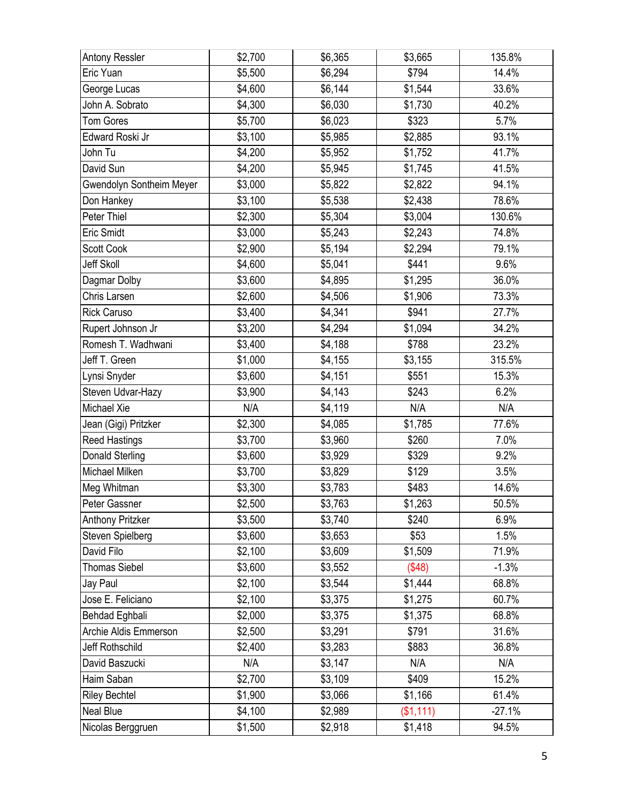| <b>Antony Ressler</b>           | \$2,700 | \$6,365 | \$3,665             | 135.8%   |
|---------------------------------|---------|---------|---------------------|----------|
| Eric Yuan                       | \$5,500 | \$6,294 | \$794               | 14.4%    |
| George Lucas                    | \$4,600 | \$6,144 | \$1,544             | 33.6%    |
| John A. Sobrato                 | \$4,300 | \$6,030 | \$1,730             | 40.2%    |
| <b>Tom Gores</b>                | \$5,700 | \$6,023 | \$323               | 5.7%     |
| Edward Roski Jr                 | \$3,100 | \$5,985 | \$2,885             | 93.1%    |
| John Tu                         | \$4,200 | \$5,952 | \$1,752             | 41.7%    |
| David Sun                       | \$4,200 | \$5,945 | \$1,745             | 41.5%    |
| <b>Gwendolyn Sontheim Meyer</b> | \$3,000 | \$5,822 | \$2,822             | 94.1%    |
| Don Hankey                      | \$3,100 | \$5,538 | \$2,438             | 78.6%    |
| Peter Thiel                     | \$2,300 | \$5,304 | \$3,004             | 130.6%   |
| <b>Eric Smidt</b>               | \$3,000 | \$5,243 | \$2,243             | 74.8%    |
| Scott Cook                      | \$2,900 | \$5,194 | \$2,294             | 79.1%    |
| <b>Jeff Skoll</b>               | \$4,600 | \$5,041 | \$441               | 9.6%     |
| Dagmar Dolby                    | \$3,600 | \$4,895 | \$1,295             | 36.0%    |
| Chris Larsen                    | \$2,600 | \$4,506 | \$1,906             | 73.3%    |
| <b>Rick Caruso</b>              | \$3,400 | \$4,341 | \$941               | 27.7%    |
| Rupert Johnson Jr               | \$3,200 | \$4,294 | \$1,094             | 34.2%    |
| Romesh T. Wadhwani              | \$3,400 | \$4,188 | \$788               | 23.2%    |
| Jeff T. Green                   | \$1,000 | \$4,155 | \$3,155             | 315.5%   |
| Lynsi Snyder                    | \$3,600 | \$4,151 | \$551               | 15.3%    |
| Steven Udvar-Hazy               | \$3,900 | \$4,143 | \$243               | 6.2%     |
| Michael Xie                     | N/A     | \$4,119 | N/A                 | N/A      |
| Jean (Gigi) Pritzker            | \$2,300 | \$4,085 | \$1,785             | 77.6%    |
| <b>Reed Hastings</b>            | \$3,700 | \$3,960 | \$260               | 7.0%     |
| Donald Sterling                 | \$3,600 | \$3,929 | \$329               | 9.2%     |
| Michael Milken                  | \$3,700 | \$3,829 | \$129               | 3.5%     |
| Meg Whitman                     | \$3,300 | \$3,783 | \$483               | 14.6%    |
| Peter Gassner                   | \$2,500 | \$3,763 | $\overline{$1,263}$ | 50.5%    |
| Anthony Pritzker                | \$3,500 | \$3,740 | \$240               | 6.9%     |
| Steven Spielberg                | \$3,600 | \$3,653 | \$53                | 1.5%     |
| David Filo                      | \$2,100 | \$3,609 | \$1,509             | 71.9%    |
| <b>Thomas Siebel</b>            | \$3,600 | \$3,552 | (\$48)              | $-1.3%$  |
| Jay Paul                        | \$2,100 | \$3,544 | \$1,444             | 68.8%    |
| Jose E. Feliciano               | \$2,100 | \$3,375 | \$1,275             | 60.7%    |
| Behdad Eghbali                  | \$2,000 | \$3,375 | \$1,375             | 68.8%    |
| Archie Aldis Emmerson           | \$2,500 | \$3,291 | \$791               | 31.6%    |
| <b>Jeff Rothschild</b>          | \$2,400 | \$3,283 | \$883               | 36.8%    |
| David Baszucki                  | N/A     | \$3,147 | N/A                 | N/A      |
| Haim Saban                      | \$2,700 | \$3,109 | \$409               | 15.2%    |
| <b>Riley Bechtel</b>            | \$1,900 | \$3,066 | \$1,166             | 61.4%    |
| Neal Blue                       | \$4,100 | \$2,989 | (\$1,111)           | $-27.1%$ |
| Nicolas Berggruen               | \$1,500 | \$2,918 | \$1,418             | 94.5%    |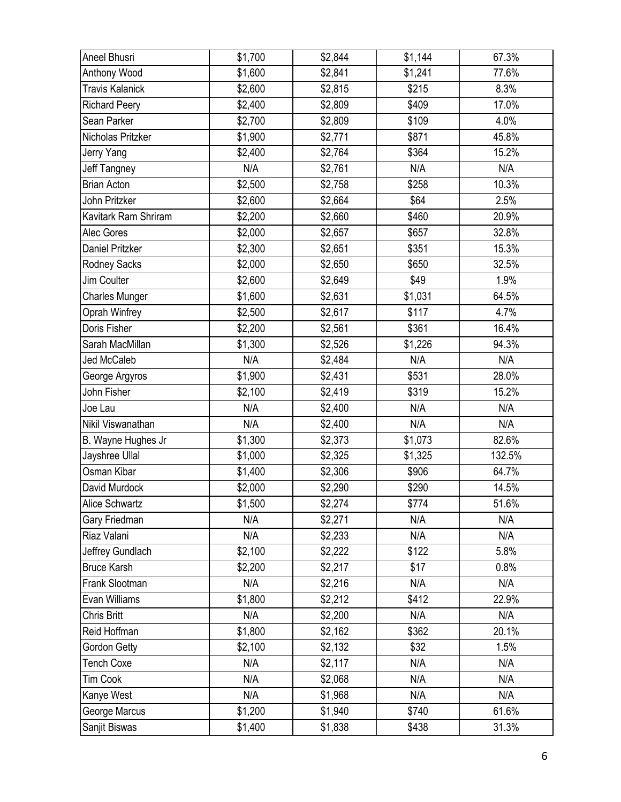| Aneel Bhusri           | \$1,700 | \$2,844 | \$1,144 | 67.3%  |
|------------------------|---------|---------|---------|--------|
| Anthony Wood           | \$1,600 | \$2,841 | \$1,241 | 77.6%  |
| <b>Travis Kalanick</b> | \$2,600 | \$2,815 | \$215   | 8.3%   |
| <b>Richard Peery</b>   | \$2,400 | \$2,809 | \$409   | 17.0%  |
| Sean Parker            | \$2,700 | \$2,809 | \$109   | 4.0%   |
| Nicholas Pritzker      | \$1,900 | \$2,771 | \$871   | 45.8%  |
| Jerry Yang             | \$2,400 | \$2,764 | \$364   | 15.2%  |
| Jeff Tangney           | N/A     | \$2,761 | N/A     | N/A    |
| <b>Brian Acton</b>     | \$2,500 | \$2,758 | \$258   | 10.3%  |
| John Pritzker          | \$2,600 | \$2,664 | \$64    | 2.5%   |
| Kavitark Ram Shriram   | \$2,200 | \$2,660 | \$460   | 20.9%  |
| Alec Gores             | \$2,000 | \$2,657 | \$657   | 32.8%  |
| <b>Daniel Pritzker</b> | \$2,300 | \$2,651 | \$351   | 15.3%  |
| Rodney Sacks           | \$2,000 | \$2,650 | \$650   | 32.5%  |
| Jim Coulter            | \$2,600 | \$2,649 | \$49    | 1.9%   |
| <b>Charles Munger</b>  | \$1,600 | \$2,631 | \$1,031 | 64.5%  |
| Oprah Winfrey          | \$2,500 | \$2,617 | \$117   | 4.7%   |
| Doris Fisher           | \$2,200 | \$2,561 | \$361   | 16.4%  |
| Sarah MacMillan        | \$1,300 | \$2,526 | \$1,226 | 94.3%  |
| <b>Jed McCaleb</b>     | N/A     | \$2,484 | N/A     | N/A    |
| George Argyros         | \$1,900 | \$2,431 | \$531   | 28.0%  |
| John Fisher            | \$2,100 | \$2,419 | \$319   | 15.2%  |
| Joe Lau                | N/A     | \$2,400 | N/A     | N/A    |
| Nikil Viswanathan      | N/A     | \$2,400 | N/A     | N/A    |
| B. Wayne Hughes Jr     | \$1,300 | \$2,373 | \$1,073 | 82.6%  |
| Jayshree Ullal         | \$1,000 | \$2,325 | \$1,325 | 132.5% |
| Osman Kibar            | \$1,400 | \$2,306 | \$906   | 64.7%  |
| David Murdock          | \$2,000 | \$2,290 | \$290   | 14.5%  |
| Alice Schwartz         | \$1,500 | \$2,274 | \$774   | 51.6%  |
| Gary Friedman          | N/A     | \$2,271 | N/A     | N/A    |
| Riaz Valani            | N/A     | \$2,233 | N/A     | N/A    |
| Jeffrey Gundlach       | \$2,100 | \$2,222 | \$122   | 5.8%   |
| <b>Bruce Karsh</b>     | \$2,200 | \$2,217 | \$17    | 0.8%   |
| Frank Slootman         | N/A     | \$2,216 | N/A     | N/A    |
| Evan Williams          | \$1,800 | \$2,212 | \$412   | 22.9%  |
| Chris Britt            | N/A     | \$2,200 | N/A     | N/A    |
| Reid Hoffman           | \$1,800 | \$2,162 | \$362   | 20.1%  |
| <b>Gordon Getty</b>    | \$2,100 | \$2,132 | \$32    | 1.5%   |
| <b>Tench Coxe</b>      | N/A     | \$2,117 | N/A     | N/A    |
| <b>Tim Cook</b>        | N/A     | \$2,068 | N/A     | N/A    |
| Kanye West             | N/A     | \$1,968 | N/A     | N/A    |
| George Marcus          | \$1,200 | \$1,940 | \$740   | 61.6%  |
| Sanjit Biswas          | \$1,400 | \$1,838 | \$438   | 31.3%  |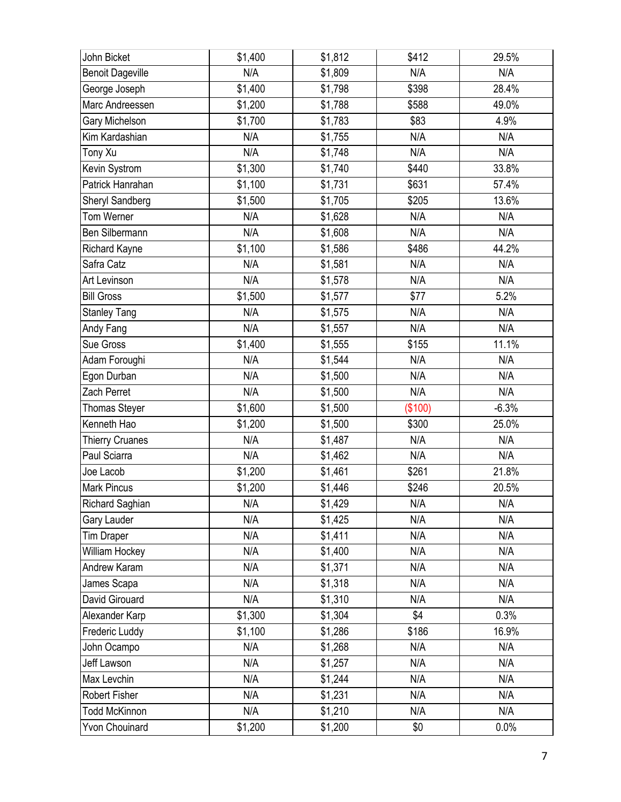| John Bicket             | \$1,400 | \$1,812 | \$412   | 29.5%   |
|-------------------------|---------|---------|---------|---------|
| <b>Benoit Dageville</b> | N/A     | \$1,809 | N/A     | N/A     |
| George Joseph           | \$1,400 | \$1,798 | \$398   | 28.4%   |
| Marc Andreessen         | \$1,200 | \$1,788 | \$588   | 49.0%   |
| Gary Michelson          | \$1,700 | \$1,783 | \$83    | 4.9%    |
| Kim Kardashian          | N/A     | \$1,755 | N/A     | N/A     |
| Tony Xu                 | N/A     | \$1,748 | N/A     | N/A     |
| Kevin Systrom           | \$1,300 | \$1,740 | \$440   | 33.8%   |
| Patrick Hanrahan        | \$1,100 | \$1,731 | \$631   | 57.4%   |
| Sheryl Sandberg         | \$1,500 | \$1,705 | \$205   | 13.6%   |
| Tom Werner              | N/A     | \$1,628 | N/A     | N/A     |
| Ben Silbermann          | N/A     | \$1,608 | N/A     | N/A     |
| <b>Richard Kayne</b>    | \$1,100 | \$1,586 | \$486   | 44.2%   |
| Safra Catz              | N/A     | \$1,581 | N/A     | N/A     |
| Art Levinson            | N/A     | \$1,578 | N/A     | N/A     |
| <b>Bill Gross</b>       | \$1,500 | \$1,577 | \$77    | 5.2%    |
| <b>Stanley Tang</b>     | N/A     | \$1,575 | N/A     | N/A     |
| Andy Fang               | N/A     | \$1,557 | N/A     | N/A     |
| Sue Gross               | \$1,400 | \$1,555 | \$155   | 11.1%   |
| Adam Foroughi           | N/A     | \$1,544 | N/A     | N/A     |
| Egon Durban             | N/A     | \$1,500 | N/A     | N/A     |
| Zach Perret             | N/A     | \$1,500 | N/A     | N/A     |
| Thomas Steyer           | \$1,600 | \$1,500 | (\$100) | $-6.3%$ |
| Kenneth Hao             | \$1,200 | \$1,500 | \$300   | 25.0%   |
| <b>Thierry Cruanes</b>  | N/A     | \$1,487 | N/A     | N/A     |
| Paul Sciarra            | N/A     | \$1,462 | N/A     | N/A     |
| Joe Lacob               | \$1,200 | \$1,461 | \$261   | 21.8%   |
| <b>Mark Pincus</b>      | \$1,200 | \$1,446 | \$246   | 20.5%   |
| Richard Saghian         | N/A     | \$1,429 | N/A     | N/A     |
| Gary Lauder             | N/A     | \$1,425 | N/A     | N/A     |
| <b>Tim Draper</b>       | N/A     | \$1,411 | N/A     | N/A     |
| William Hockey          | N/A     | \$1,400 | N/A     | N/A     |
| Andrew Karam            | N/A     | \$1,371 | N/A     | N/A     |
| James Scapa             | N/A     | \$1,318 | N/A     | N/A     |
| David Girouard          | N/A     | \$1,310 | N/A     | N/A     |
| Alexander Karp          | \$1,300 | \$1,304 | \$4     | 0.3%    |
| Frederic Luddy          | \$1,100 | \$1,286 | \$186   | 16.9%   |
| John Ocampo             | N/A     | \$1,268 | N/A     | N/A     |
| Jeff Lawson             | N/A     | \$1,257 | N/A     | N/A     |
| Max Levchin             | N/A     | \$1,244 | N/A     | N/A     |
| Robert Fisher           | N/A     | \$1,231 | N/A     | N/A     |
| <b>Todd McKinnon</b>    | N/A     | \$1,210 | N/A     | N/A     |
| <b>Yvon Chouinard</b>   | \$1,200 | \$1,200 | \$0     | 0.0%    |